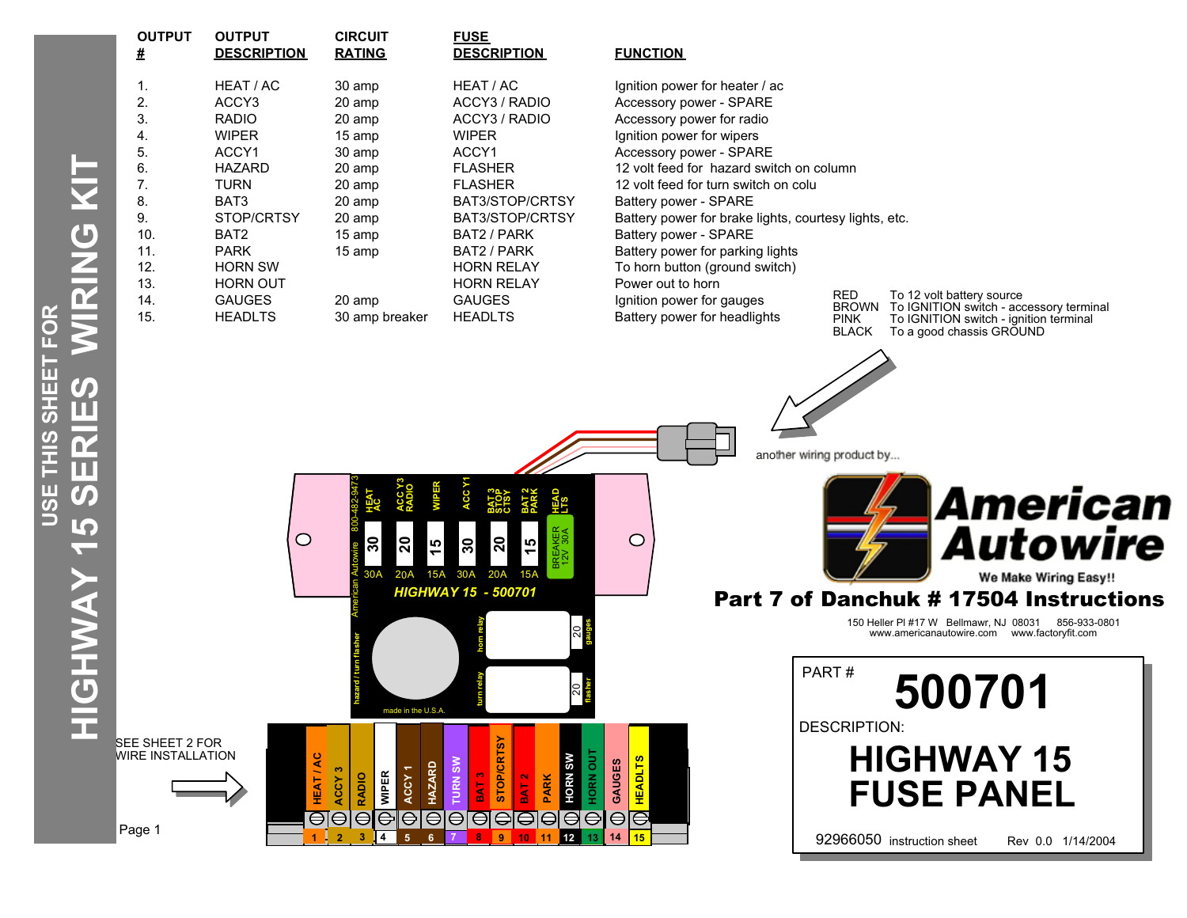|                                                           |             | <b>OUTPUT</b><br>#                                                                                         | <b>OUTPUT</b><br><b>DESCRIPTION</b>                                                                                                                                                                              | <b>CIRCUIT</b><br><b>RATING</b>                                                                                                        | <b>FUSE</b><br><b>DESC</b>                                                                                                                                                                        |
|-----------------------------------------------------------|-------------|------------------------------------------------------------------------------------------------------------|------------------------------------------------------------------------------------------------------------------------------------------------------------------------------------------------------------------|----------------------------------------------------------------------------------------------------------------------------------------|---------------------------------------------------------------------------------------------------------------------------------------------------------------------------------------------------|
| $\mathbf{\widetilde{C}}$<br>π<br>エの<br>の<br><u>ყ</u><br>5 | <b>NGKI</b> | 1.<br>$\overline{2}$ .<br>3.<br>4.<br>5.<br>6.<br>7.<br>8.<br>9.<br>10.<br>11.<br>12.<br>13.<br>14.<br>15. | HEAT / AC<br>ACCY3<br><b>RADIO</b><br><b>WIPER</b><br>ACCY1<br><b>HAZARD</b><br><b>TURN</b><br>BAT3<br>STOP/CRTSY<br>BAT2<br><b>PARK</b><br><b>HORN SW</b><br><b>HORN OUT</b><br><b>GAUGES</b><br><b>HEADLTS</b> | 30 amp<br>20 amp<br>20 amp<br>15 amp<br>30 amp<br>20 amp<br>20 amp<br>20 amp<br>20 amp<br>15 amp<br>15 amp<br>20 amp<br>30 amp breaker | <b>HEAT</b><br>ACCY:<br>ACCY:<br><b>WIPEF</b><br><b>ACCY</b><br><b>FLASH</b><br><b>FLASH</b><br><b>BAT3/</b><br><b>BAT3/</b><br>BAT2<br>BAT2<br><b>HORN</b><br><b>HORN</b><br>GAUG<br><b>HEAD</b> |
|                                                           | YYYHOH      |                                                                                                            |                                                                                                                                                                                                                  | 中巴<br>నె<br>20<br>15<br>30A<br>20A<br>made in the U.S.A                                                                                | 30<br>15A 30A<br><b>HIGHWAY 15 -</b>                                                                                                                                                              |
|                                                           |             | SFF SHFFT 2 FOR                                                                                            |                                                                                                                                                                                                                  |                                                                                                                                        |                                                                                                                                                                                                   |

**# DESCRIPTION RATING DESCRIPTION FUNCTION** 1. Both amp HEAT / AC ignition power for heater / ac 20 amp ACCY3 / RADIO Accessory power - SPARE<br>20 amp ACCY3 / RADIO Accessory power for radio 3. RADIO 20 amp ACCY3 / RADIO Accessory power for radio 15 amp WIPER Ignition power for wipers 30 amp  $ACCY1$  ACCY1 Accessory power - SPARE 20 amp BAT3/STOP/CRTSY Battery power - SPARE 15 amp BAT2 / PARK Battery power - SPARE HORN RELAY Power out to horn 20 amp GAUGES Ignition power for gauges 15. Batter Solomon HEADLTS Battery power for headlights both and the HEADLTS Battery power for headlights

E GET IN IN SEE<br>COMPONENT ASSEMBLY SEE

*HIGHWAY 15 - 500701*

**BAT 3 STOP CTSY BAT 2 PARK HEAD LTS**

**20**

**15**

**BRE** 

12V 30A BREAKER

**gauges**

 $\circ$ 

ຊ

**flasher**

**IORN OU** 

**HEADLTS** 

GAUGES

ຊ

HORN SW

**1 2 3 4 5 6 7 8 9 10 11 12 13 14 15**

**TURN SW** 

**HAZARD** 

**STOP/CRTSY** 

**HEAT / AC ACCY 3 RADIO WIPER ACCY 1 HAZARD TURN SW BAT 3 STOP/CRTSY BAT 2 PARK HORN SW HORN OUT GAUGES HEADLTS**

HEAT/AC

20 amp FLASHER 12 volt feed for hazard switch on column 20 amp FLASHER 12 volt feed for turn switch on colu 20 amp BAT3/STOP/CRTSY Battery power for brake lights, courtesy lights, etc. 15 amp BAT2 / PARK Battery power for parking lights HORN RELAY To horn button (ground switch)

RED To 12 volt battery source BROWN To IGNITION switch - accessory terminal PINK To IGNITION switch - ignition terminal<br>BLACK To a good chassis GROUND To a good chassis GROUND

another wiring product by...



## Part 7 of Danchuk # 17504 Instructions

150 Heller Pl #17 W Bellmawr, NJ 08031 856-933-0801 www.americanautowire.com www.factoryfit.com

GM COLUMN MOUNT **FUSE PANEL** University of the second second second second second second second second second second second second second s PART # DESCRIPTION: **HIGHWAY 15 500701**

92966050 instruction sheet Rev 0.0 1/14/2004 Page 1